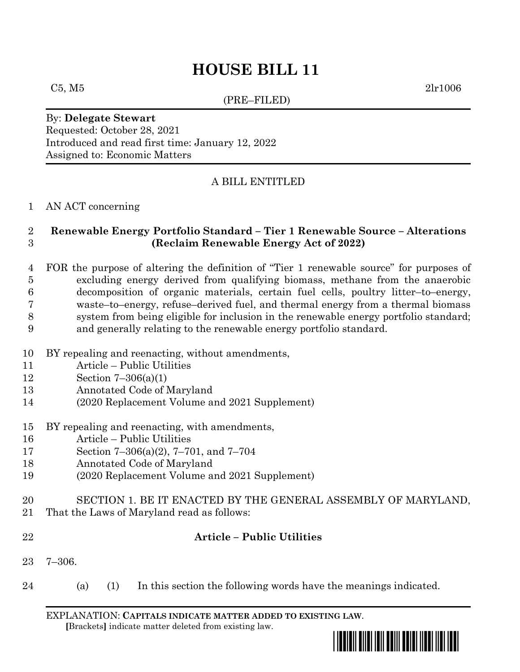(PRE–FILED)

 $C5, M5$  2lr1006

By: **Delegate Stewart** Requested: October 28, 2021 Introduced and read first time: January 12, 2022 Assigned to: Economic Matters

# A BILL ENTITLED

## AN ACT concerning

## **Renewable Energy Portfolio Standard – Tier 1 Renewable Source – Alterations (Reclaim Renewable Energy Act of 2022)**

 FOR the purpose of altering the definition of "Tier 1 renewable source" for purposes of excluding energy derived from qualifying biomass, methane from the anaerobic decomposition of organic materials, certain fuel cells, poultry litter–to–energy, waste–to–energy, refuse–derived fuel, and thermal energy from a thermal biomass system from being eligible for inclusion in the renewable energy portfolio standard; and generally relating to the renewable energy portfolio standard.

- BY repealing and reenacting, without amendments,
- Article Public Utilities
- Section 7–306(a)(1)
- Annotated Code of Maryland
- (2020 Replacement Volume and 2021 Supplement)
- BY repealing and reenacting, with amendments,
- Article Public Utilities
- Section 7–306(a)(2), 7–701, and 7–704
- Annotated Code of Maryland
- (2020 Replacement Volume and 2021 Supplement)
- SECTION 1. BE IT ENACTED BY THE GENERAL ASSEMBLY OF MARYLAND,
- That the Laws of Maryland read as follows:
- 

## **Article – Public Utilities**

- 7–306.
- (a) (1) In this section the following words have the meanings indicated.

EXPLANATION: **CAPITALS INDICATE MATTER ADDED TO EXISTING LAW**.  **[**Brackets**]** indicate matter deleted from existing law.

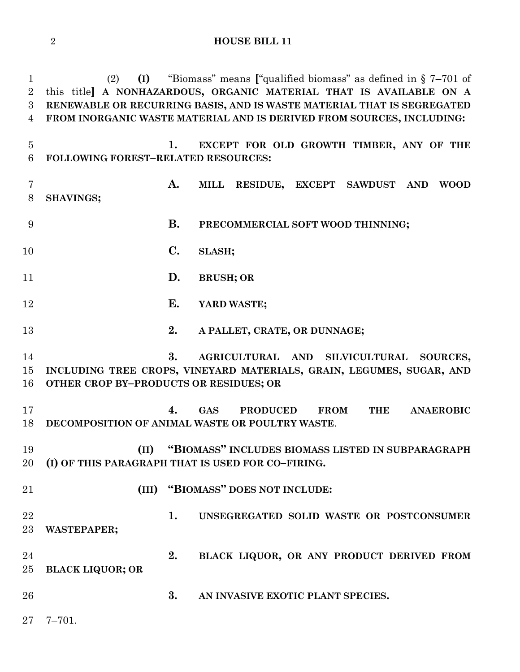(2) **(I)** "Biomass" means **[**"qualified biomass" as defined in § 7–701 of this title**] A NONHAZARDOUS, ORGANIC MATERIAL THAT IS AVAILABLE ON A RENEWABLE OR RECURRING BASIS, AND IS WASTE MATERIAL THAT IS SEGREGATED FROM INORGANIC WASTE MATERIAL AND IS DERIVED FROM SOURCES, INCLUDING: 1. EXCEPT FOR OLD GROWTH TIMBER, ANY OF THE FOLLOWING FOREST–RELATED RESOURCES: A. MILL RESIDUE, EXCEPT SAWDUST AND WOOD SHAVINGS; B. PRECOMMERCIAL SOFT WOOD THINNING; C. SLASH; D. BRUSH; OR E. YARD WASTE; 2. A PALLET, CRATE, OR DUNNAGE; 3. AGRICULTURAL AND SILVICULTURAL SOURCES, INCLUDING TREE CROPS, VINEYARD MATERIALS, GRAIN, LEGUMES, SUGAR, AND OTHER CROP BY–PRODUCTS OR RESIDUES; OR 4. GAS PRODUCED FROM THE ANAEROBIC DECOMPOSITION OF ANIMAL WASTE OR POULTRY WASTE**. **(II) "BIOMASS" INCLUDES BIOMASS LISTED IN SUBPARAGRAPH (I) OF THIS PARAGRAPH THAT IS USED FOR CO–FIRING. (III) "BIOMASS" DOES NOT INCLUDE: 1. UNSEGREGATED SOLID WASTE OR POSTCONSUMER WASTEPAPER; 2. BLACK LIQUOR, OR ANY PRODUCT DERIVED FROM BLACK LIQUOR; OR 3. AN INVASIVE EXOTIC PLANT SPECIES.** 7–701.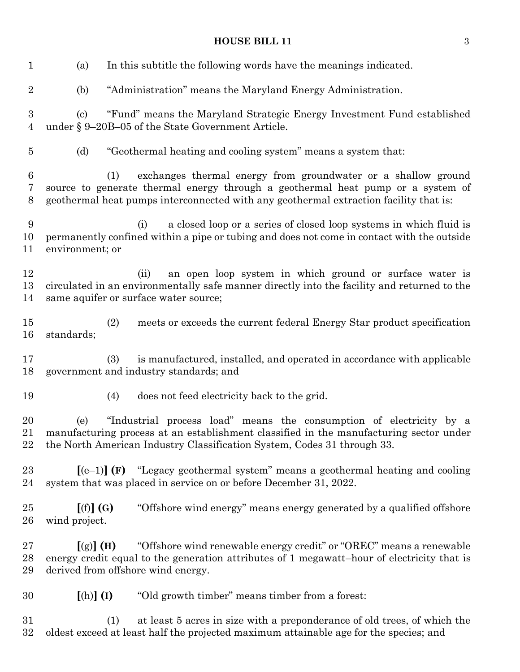(a) In this subtitle the following words have the meanings indicated. (b) "Administration" means the Maryland Energy Administration. (c) "Fund" means the Maryland Strategic Energy Investment Fund established under § 9–20B–05 of the State Government Article. (d) "Geothermal heating and cooling system" means a system that: (1) exchanges thermal energy from groundwater or a shallow ground source to generate thermal energy through a geothermal heat pump or a system of geothermal heat pumps interconnected with any geothermal extraction facility that is: (i) a closed loop or a series of closed loop systems in which fluid is permanently confined within a pipe or tubing and does not come in contact with the outside environment; or (ii) an open loop system in which ground or surface water is circulated in an environmentally safe manner directly into the facility and returned to the same aquifer or surface water source; (2) meets or exceeds the current federal Energy Star product specification standards; (3) is manufactured, installed, and operated in accordance with applicable government and industry standards; and (4) does not feed electricity back to the grid. (e) "Industrial process load" means the consumption of electricity by a manufacturing process at an establishment classified in the manufacturing sector under the North American Industry Classification System, Codes 31 through 33. **[**(e–1)**] (F)** "Legacy geothermal system" means a geothermal heating and cooling system that was placed in service on or before December 31, 2022. **[**(f)**] (G)** "Offshore wind energy" means energy generated by a qualified offshore wind project. **[**(g)**] (H)** "Offshore wind renewable energy credit" or "OREC" means a renewable energy credit equal to the generation attributes of 1 megawatt–hour of electricity that is derived from offshore wind energy. **[**(h)**] (I)** "Old growth timber" means timber from a forest: (1) at least 5 acres in size with a preponderance of old trees, of which the oldest exceed at least half the projected maximum attainable age for the species; and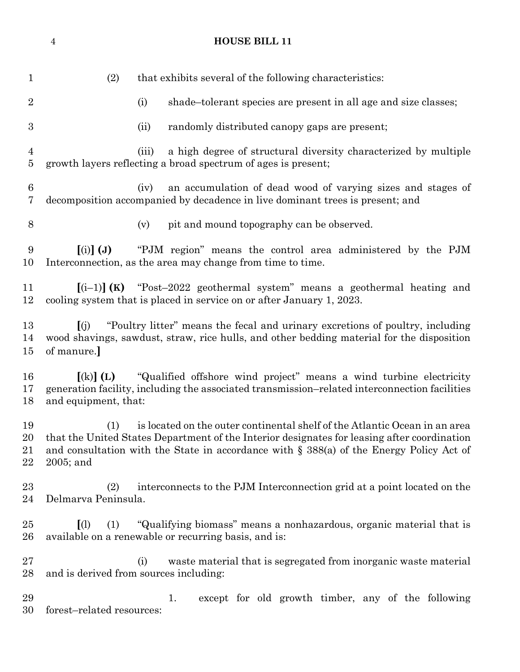(2) that exhibits several of the following characteristics: 2 (i) shade–tolerant species are present in all age and size classes; (ii) randomly distributed canopy gaps are present; (iii) a high degree of structural diversity characterized by multiple growth layers reflecting a broad spectrum of ages is present; (iv) an accumulation of dead wood of varying sizes and stages of decomposition accompanied by decadence in live dominant trees is present; and (v) pit and mound topography can be observed. **[**(i)**] (J)** "PJM region" means the control area administered by the PJM Interconnection, as the area may change from time to time. **[**(i–1)**] (K)** "Post–2022 geothermal system" means a geothermal heating and cooling system that is placed in service on or after January 1, 2023. **[**(j) "Poultry litter" means the fecal and urinary excretions of poultry, including wood shavings, sawdust, straw, rice hulls, and other bedding material for the disposition of manure.**] [**(k)**] (L)** "Qualified offshore wind project" means a wind turbine electricity generation facility, including the associated transmission–related interconnection facilities and equipment, that: (1) is located on the outer continental shelf of the Atlantic Ocean in an area that the United States Department of the Interior designates for leasing after coordination and consultation with the State in accordance with § 388(a) of the Energy Policy Act of 2005; and (2) interconnects to the PJM Interconnection grid at a point located on the Delmarva Peninsula. **[**(l) (1) "Qualifying biomass" means a nonhazardous, organic material that is available on a renewable or recurring basis, and is: (i) waste material that is segregated from inorganic waste material and is derived from sources including: 1. except for old growth timber, any of the following forest–related resources:

**HOUSE BILL 11**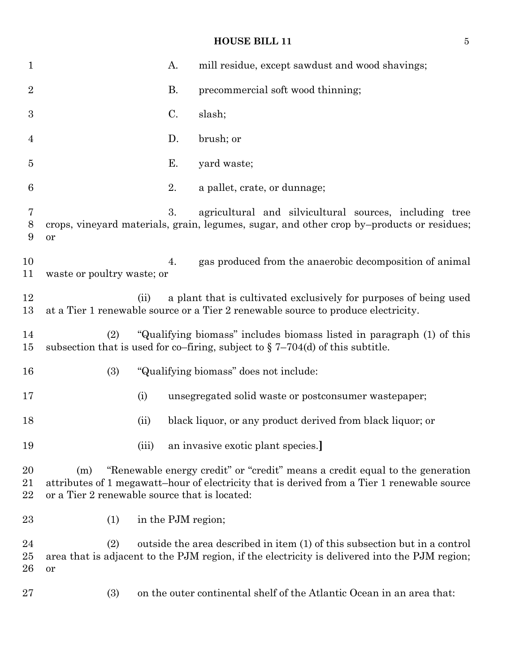| $\mathbf{1}$       |                                                      |       | A.                 | mill residue, except sawdust and wood shavings;                                                                                                                             |
|--------------------|------------------------------------------------------|-------|--------------------|-----------------------------------------------------------------------------------------------------------------------------------------------------------------------------|
| $\overline{2}$     |                                                      |       | <b>B.</b>          | precommercial soft wood thinning;                                                                                                                                           |
| $\boldsymbol{3}$   |                                                      |       | C.                 | slash;                                                                                                                                                                      |
| $\overline{4}$     |                                                      |       | D.                 | brush; or                                                                                                                                                                   |
| 5                  |                                                      |       | Ε.                 | yard waste;                                                                                                                                                                 |
| 6                  |                                                      |       | 2.                 | a pallet, crate, or dunnage;                                                                                                                                                |
| 7<br>8<br>9        | or                                                   |       | 3.                 | agricultural and silvicultural sources, including tree<br>crops, vineyard materials, grain, legumes, sugar, and other crop by-products or residues;                         |
| 10<br>11           | waste or poultry waste; or                           |       | 4.                 | gas produced from the anaerobic decomposition of animal                                                                                                                     |
| 12<br>13           |                                                      | (ii)  |                    | a plant that is cultivated exclusively for purposes of being used<br>at a Tier 1 renewable source or a Tier 2 renewable source to produce electricity.                      |
| 14<br>15           | (2)                                                  |       |                    | "Qualifying biomass" includes biomass listed in paragraph (1) of this<br>subsection that is used for co-firing, subject to $\S 7-704(d)$ of this subtitle.                  |
| 16                 | (3)                                                  |       |                    | "Qualifying biomass" does not include:                                                                                                                                      |
| 17                 |                                                      | (i)   |                    | unsegregated solid waste or postconsumer wastepaper;                                                                                                                        |
| 18                 |                                                      | (ii)  |                    | black liquor, or any product derived from black liquor; or                                                                                                                  |
| 19                 |                                                      | (iii) |                    | an invasive exotic plant species.                                                                                                                                           |
| 20<br>21<br>22     | (m)<br>or a Tier 2 renewable source that is located: |       |                    | "Renewable energy credit" or "credit" means a credit equal to the generation<br>attributes of 1 megawatt-hour of electricity that is derived from a Tier 1 renewable source |
| 23                 | (1)                                                  |       | in the PJM region; |                                                                                                                                                                             |
| 24<br>$25\,$<br>26 | (2)<br>or                                            |       |                    | outside the area described in item (1) of this subsection but in a control<br>area that is adjacent to the PJM region, if the electricity is delivered into the PJM region; |
| $27\,$             | (3)                                                  |       |                    | on the outer continental shelf of the Atlantic Ocean in an area that:                                                                                                       |
|                    |                                                      |       |                    |                                                                                                                                                                             |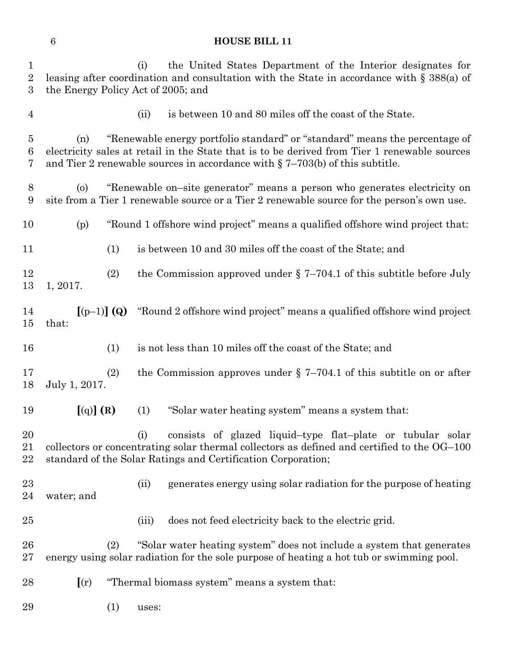| $\mathbf{1}$<br>$\overline{2}$<br>3 | the Energy Policy Act of 2005; and                                                                                                                                                                                                                                    | (i)  | the United States Department of the Interior designates for<br>leasing after coordination and consultation with the State in accordance with $\S 388(a)$ of                                                               |  |  |  |
|-------------------------------------|-----------------------------------------------------------------------------------------------------------------------------------------------------------------------------------------------------------------------------------------------------------------------|------|---------------------------------------------------------------------------------------------------------------------------------------------------------------------------------------------------------------------------|--|--|--|
| $\overline{4}$                      |                                                                                                                                                                                                                                                                       | (ii) | is between 10 and 80 miles off the coast of the State.                                                                                                                                                                    |  |  |  |
| $\overline{5}$<br>6<br>7            | "Renewable energy portfolio standard" or "standard" means the percentage of<br>(n)<br>electricity sales at retail in the State that is to be derived from Tier 1 renewable sources<br>and Tier 2 renewable sources in accordance with $\S$ 7-703(b) of this subtitle. |      |                                                                                                                                                                                                                           |  |  |  |
| $8\phantom{1}$<br>9                 | "Renewable on-site generator" means a person who generates electricity on<br>$\left( 0 \right)$<br>site from a Tier 1 renewable source or a Tier 2 renewable source for the person's own use.                                                                         |      |                                                                                                                                                                                                                           |  |  |  |
| 10                                  | (p)                                                                                                                                                                                                                                                                   |      | "Round 1 offshore wind project" means a qualified offshore wind project that:                                                                                                                                             |  |  |  |
| 11                                  | (1)                                                                                                                                                                                                                                                                   |      | is between 10 and 30 miles off the coast of the State; and                                                                                                                                                                |  |  |  |
| 12<br>13                            | (2)<br>1, 2017.                                                                                                                                                                                                                                                       |      | the Commission approved under $\S$ 7-704.1 of this subtitle before July                                                                                                                                                   |  |  |  |
| 14<br>15                            | $[(p-1)] (Q)$<br>that:                                                                                                                                                                                                                                                |      | "Round 2 offshore wind project" means a qualified offshore wind project                                                                                                                                                   |  |  |  |
| 16                                  | (1)                                                                                                                                                                                                                                                                   |      | is not less than 10 miles off the coast of the State; and                                                                                                                                                                 |  |  |  |
| 17<br>18                            | (2)<br>July 1, 2017.                                                                                                                                                                                                                                                  |      | the Commission approves under $\S$ 7-704.1 of this subtitle on or after                                                                                                                                                   |  |  |  |
| 19                                  | [(q)](R)                                                                                                                                                                                                                                                              | (1)  | "Solar water heating system" means a system that:                                                                                                                                                                         |  |  |  |
| 20<br>21<br>22                      |                                                                                                                                                                                                                                                                       | (i)  | consists of glazed liquid-type flat-plate or tubular solar<br>collectors or concentrating solar thermal collectors as defined and certified to the OG-100<br>standard of the Solar Ratings and Certification Corporation; |  |  |  |
| 23<br>24                            | water; and                                                                                                                                                                                                                                                            | (ii) | generates energy using solar radiation for the purpose of heating                                                                                                                                                         |  |  |  |

(iii) does not feed electricity back to the electric grid.

 (2) "Solar water heating system" does not include a system that generates energy using solar radiation for the sole purpose of heating a hot tub or swimming pool.

- **[**(r) "Thermal biomass system" means a system that:
- (1) uses: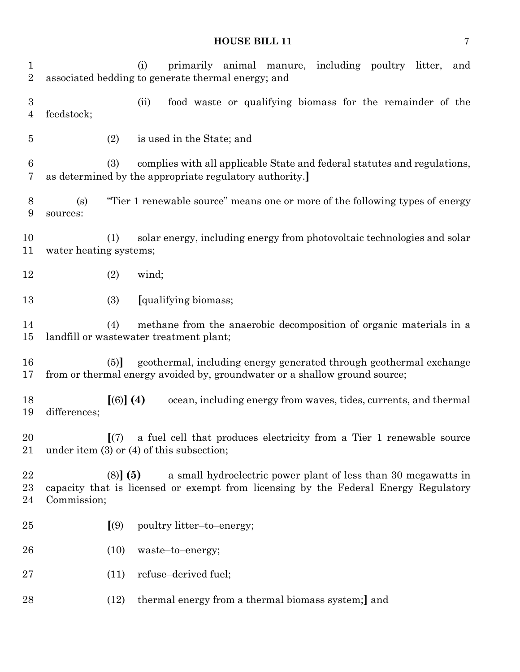(i) primarily animal manure, including poultry litter, and associated bedding to generate thermal energy; and (ii) food waste or qualifying biomass for the remainder of the feedstock; (2) is used in the State; and (3) complies with all applicable State and federal statutes and regulations, as determined by the appropriate regulatory authority.**]** (s) "Tier 1 renewable source" means one or more of the following types of energy sources: (1) solar energy, including energy from photovoltaic technologies and solar water heating systems; (2) wind; (3) **[**qualifying biomass; (4) methane from the anaerobic decomposition of organic materials in a landfill or wastewater treatment plant; (5)**]** geothermal, including energy generated through geothermal exchange from or thermal energy avoided by, groundwater or a shallow ground source; **[**(6)**] (4)** ocean, including energy from waves, tides, currents, and thermal differences; **[**(7) a fuel cell that produces electricity from a Tier 1 renewable source under item (3) or (4) of this subsection; (8)**] (5)** a small hydroelectric power plant of less than 30 megawatts in capacity that is licensed or exempt from licensing by the Federal Energy Regulatory Commission; **[**(9) poultry litter–to–energy; (10) waste–to–energy; (11) refuse–derived fuel; (12) thermal energy from a thermal biomass system;**]** and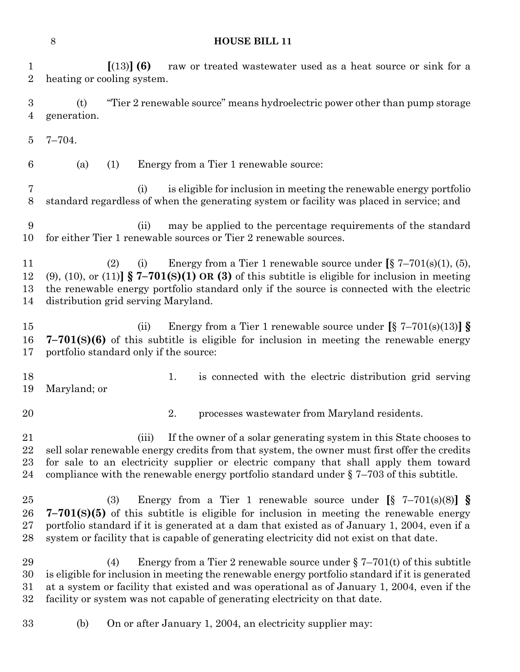**[**(13)**] (6)** raw or treated wastewater used as a heat source or sink for a heating or cooling system. (t) "Tier 2 renewable source" means hydroelectric power other than pump storage generation. 7–704. (a) (1) Energy from a Tier 1 renewable source: (i) is eligible for inclusion in meeting the renewable energy portfolio standard regardless of when the generating system or facility was placed in service; and (ii) may be applied to the percentage requirements of the standard for either Tier 1 renewable sources or Tier 2 renewable sources. (2) (i) Energy from a Tier 1 renewable source under **[**§ 7–701(s)(1), (5), (9), (10), or (11)**] § 7–701(S)(1) OR (3)** of this subtitle is eligible for inclusion in meeting the renewable energy portfolio standard only if the source is connected with the electric distribution grid serving Maryland. (ii) Energy from a Tier 1 renewable source under **[**§ 7–701(s)(13)**] § 7–701(S)(6)** of this subtitle is eligible for inclusion in meeting the renewable energy portfolio standard only if the source: 18 18 1. is connected with the electric distribution grid serving Maryland; or 2. processes wastewater from Maryland residents. (iii) If the owner of a solar generating system in this State chooses to sell solar renewable energy credits from that system, the owner must first offer the credits for sale to an electricity supplier or electric company that shall apply them toward compliance with the renewable energy portfolio standard under § 7–703 of this subtitle. (3) Energy from a Tier 1 renewable source under **[**§ 7–701(s)(8)**] § 7–701(S)(5)** of this subtitle is eligible for inclusion in meeting the renewable energy portfolio standard if it is generated at a dam that existed as of January 1, 2004, even if a system or facility that is capable of generating electricity did not exist on that date. 29 (4) Energy from a Tier 2 renewable source under  $\S 7-701(t)$  of this subtitle is eligible for inclusion in meeting the renewable energy portfolio standard if it is generated at a system or facility that existed and was operational as of January 1, 2004, even if the facility or system was not capable of generating electricity on that date. (b) On or after January 1, 2004, an electricity supplier may: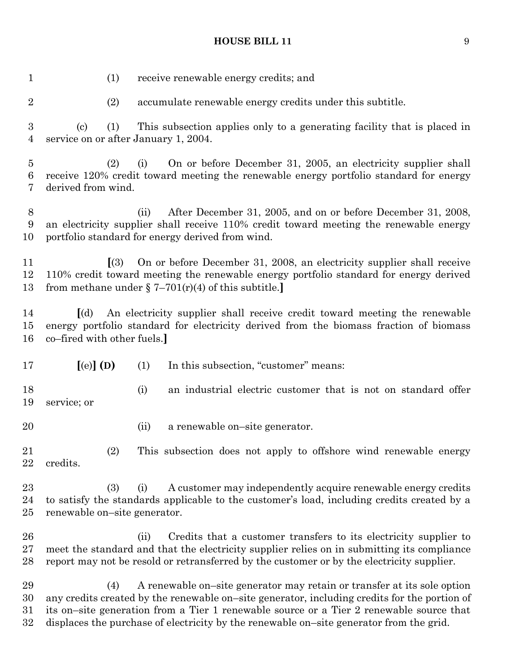| $\mathbf{1}$             | (1)                                                                                                                                                                                                                |      | receive renewable energy credits; and                                                                                                                                                                                                                       |  |
|--------------------------|--------------------------------------------------------------------------------------------------------------------------------------------------------------------------------------------------------------------|------|-------------------------------------------------------------------------------------------------------------------------------------------------------------------------------------------------------------------------------------------------------------|--|
| $\overline{2}$           | (2)                                                                                                                                                                                                                |      | accumulate renewable energy credits under this subtitle.                                                                                                                                                                                                    |  |
| $\boldsymbol{3}$<br>4    | (1)<br>(c)<br>service on or after January 1, 2004.                                                                                                                                                                 |      | This subsection applies only to a generating facility that is placed in                                                                                                                                                                                     |  |
| $\overline{5}$<br>6<br>7 | (2)<br>derived from wind.                                                                                                                                                                                          | (i)  | On or before December 31, 2005, an electricity supplier shall<br>receive 120% credit toward meeting the renewable energy portfolio standard for energy                                                                                                      |  |
| 8<br>9<br>10             |                                                                                                                                                                                                                    | (ii) | After December 31, 2005, and on or before December 31, 2008,<br>an electricity supplier shall receive 110% credit toward meeting the renewable energy<br>portfolio standard for energy derived from wind.                                                   |  |
| 11<br>12<br>13           | (3)                                                                                                                                                                                                                |      | On or before December 31, 2008, an electricity supplier shall receive<br>110% credit toward meeting the renewable energy portfolio standard for energy derived<br>from methane under $\S 7-701(r)(4)$ of this subtitle.]                                    |  |
| 14<br>$15\,$<br>16       | An electricity supplier shall receive credit toward meeting the renewable<br>$\lceil$ (d)<br>energy portfolio standard for electricity derived from the biomass fraction of biomass<br>co–fired with other fuels.] |      |                                                                                                                                                                                                                                                             |  |
|                          |                                                                                                                                                                                                                    |      |                                                                                                                                                                                                                                                             |  |
| 17                       | $[$ (e) $]$ (D)                                                                                                                                                                                                    | (1)  | In this subsection, "customer" means:                                                                                                                                                                                                                       |  |
| 18<br>19                 | service; or                                                                                                                                                                                                        | (i)  | an industrial electric customer that is not on standard offer                                                                                                                                                                                               |  |
| 20                       |                                                                                                                                                                                                                    | (ii) | a renewable on-site generator.                                                                                                                                                                                                                              |  |
| $21\,$<br>22             | (2)<br>credits.                                                                                                                                                                                                    |      | This subsection does not apply to offshore wind renewable energy                                                                                                                                                                                            |  |
| $^{23}$<br>24<br>$25\,$  | (3)<br>renewable on-site generator.                                                                                                                                                                                | (i)  | A customer may independently acquire renewable energy credits<br>to satisfy the standards applicable to the customer's load, including credits created by a                                                                                                 |  |
| 26<br>27<br>28           |                                                                                                                                                                                                                    | (i)  | Credits that a customer transfers to its electricity supplier to<br>meet the standard and that the electricity supplier relies on in submitting its compliance<br>report may not be resold or retransferred by the customer or by the electricity supplier. |  |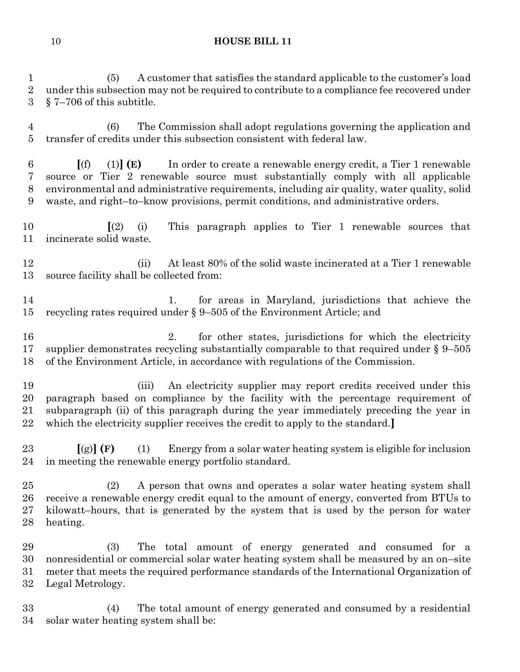(5) A customer that satisfies the standard applicable to the customer's load 2 under this subsection may not be required to contribute to a compliance fee recovered under § 7–706 of this subtitle.

 (6) The Commission shall adopt regulations governing the application and transfer of credits under this subsection consistent with federal law.

 **[**(f) (1)**] (E)** In order to create a renewable energy credit, a Tier 1 renewable source or Tier 2 renewable source must substantially comply with all applicable environmental and administrative requirements, including air quality, water quality, solid waste, and right–to–know provisions, permit conditions, and administrative orders.

 **[**(2) (i) This paragraph applies to Tier 1 renewable sources that incinerate solid waste.

 (ii) At least 80% of the solid waste incinerated at a Tier 1 renewable source facility shall be collected from:

 1. for areas in Maryland, jurisdictions that achieve the recycling rates required under § 9–505 of the Environment Article; and

 2. for other states, jurisdictions for which the electricity supplier demonstrates recycling substantially comparable to that required under § 9–505 of the Environment Article, in accordance with regulations of the Commission.

 (iii) An electricity supplier may report credits received under this paragraph based on compliance by the facility with the percentage requirement of subparagraph (ii) of this paragraph during the year immediately preceding the year in which the electricity supplier receives the credit to apply to the standard.**]**

 **[**(g)**] (F)** (1) Energy from a solar water heating system is eligible for inclusion in meeting the renewable energy portfolio standard.

 (2) A person that owns and operates a solar water heating system shall receive a renewable energy credit equal to the amount of energy, converted from BTUs to kilowatt–hours, that is generated by the system that is used by the person for water heating.

 (3) The total amount of energy generated and consumed for a nonresidential or commercial solar water heating system shall be measured by an on–site meter that meets the required performance standards of the International Organization of Legal Metrology.

 (4) The total amount of energy generated and consumed by a residential solar water heating system shall be: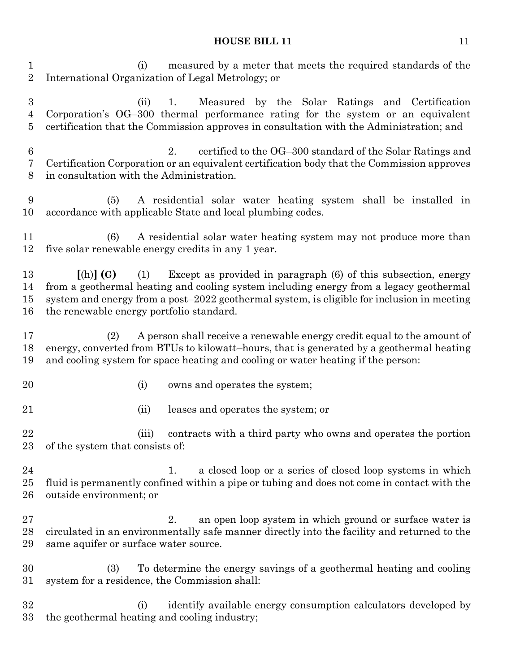(i) measured by a meter that meets the required standards of the International Organization of Legal Metrology; or

 (ii) 1. Measured by the Solar Ratings and Certification Corporation's OG–300 thermal performance rating for the system or an equivalent certification that the Commission approves in consultation with the Administration; and

 2. certified to the OG–300 standard of the Solar Ratings and Certification Corporation or an equivalent certification body that the Commission approves in consultation with the Administration.

 (5) A residential solar water heating system shall be installed in accordance with applicable State and local plumbing codes.

 (6) A residential solar water heating system may not produce more than five solar renewable energy credits in any 1 year.

 **[**(h)**] (G)** (1) Except as provided in paragraph (6) of this subsection, energy from a geothermal heating and cooling system including energy from a legacy geothermal system and energy from a post–2022 geothermal system, is eligible for inclusion in meeting the renewable energy portfolio standard.

 (2) A person shall receive a renewable energy credit equal to the amount of energy, converted from BTUs to kilowatt–hours, that is generated by a geothermal heating and cooling system for space heating and cooling or water heating if the person:

- 
- 20 (i) owns and operates the system;

(ii) leases and operates the system; or

 (iii) contracts with a third party who owns and operates the portion of the system that consists of:

24 1. a closed loop or a series of closed loop systems in which fluid is permanently confined within a pipe or tubing and does not come in contact with the outside environment; or

27 2. an open loop system in which ground or surface water is circulated in an environmentally safe manner directly into the facility and returned to the same aquifer or surface water source.

 (3) To determine the energy savings of a geothermal heating and cooling system for a residence, the Commission shall:

 (i) identify available energy consumption calculators developed by the geothermal heating and cooling industry;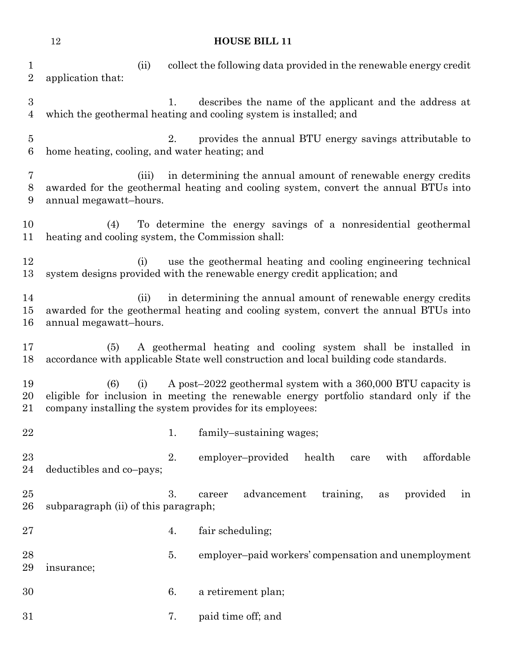(ii) collect the following data provided in the renewable energy credit application that: 1. describes the name of the applicant and the address at which the geothermal heating and cooling system is installed; and 2. provides the annual BTU energy savings attributable to home heating, cooling, and water heating; and (iii) in determining the annual amount of renewable energy credits awarded for the geothermal heating and cooling system, convert the annual BTUs into annual megawatt–hours. (4) To determine the energy savings of a nonresidential geothermal heating and cooling system, the Commission shall: (i) use the geothermal heating and cooling engineering technical system designs provided with the renewable energy credit application; and (ii) in determining the annual amount of renewable energy credits awarded for the geothermal heating and cooling system, convert the annual BTUs into annual megawatt–hours. (5) A geothermal heating and cooling system shall be installed in accordance with applicable State well construction and local building code standards. (6) (i) A post–2022 geothermal system with a 360,000 BTU capacity is eligible for inclusion in meeting the renewable energy portfolio standard only if the company installing the system provides for its employees: 22 1. family–sustaining wages; 2. employer–provided health care with affordable deductibles and co–pays; 3. career advancement training, as provided in subparagraph (ii) of this paragraph; 27 4. fair scheduling; 5. employer–paid workers' compensation and unemployment insurance; 6. a retirement plan; 7. paid time off; and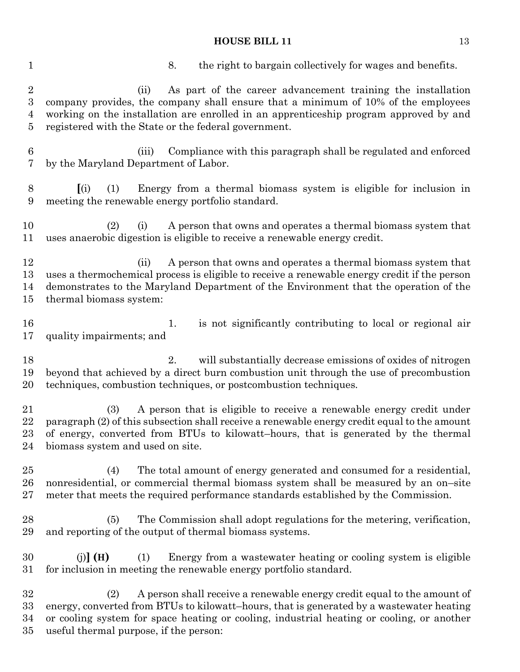| $\mathbf 1$                                | the right to bargain collectively for wages and benefits.<br>8.                                                                                                                                                                                                                                                   |
|--------------------------------------------|-------------------------------------------------------------------------------------------------------------------------------------------------------------------------------------------------------------------------------------------------------------------------------------------------------------------|
| $\overline{2}$<br>$\overline{3}$<br>4<br>5 | As part of the career advancement training the installation<br>(ii)<br>company provides, the company shall ensure that a minimum of 10% of the employees<br>working on the installation are enrolled in an apprenticeship program approved by and<br>registered with the State or the federal government.         |
| $\,6\,$<br>7                               | Compliance with this paragraph shall be regulated and enforced<br>(iii)<br>by the Maryland Department of Labor.                                                                                                                                                                                                   |
| $8\,$<br>$\boldsymbol{9}$                  | Energy from a thermal biomass system is eligible for inclusion in<br>(i)<br>(1)<br>meeting the renewable energy portfolio standard.                                                                                                                                                                               |
| 10<br>11                                   | A person that owns and operates a thermal biomass system that<br>(2)<br>(i)<br>uses anaerobic digestion is eligible to receive a renewable energy credit.                                                                                                                                                         |
| 12<br>13<br>14<br>15                       | A person that owns and operates a thermal biomass system that<br>(ii)<br>uses a thermochemical process is eligible to receive a renewable energy credit if the person<br>demonstrates to the Maryland Department of the Environment that the operation of the<br>thermal biomass system:                          |
| 16<br>17                                   | is not significantly contributing to local or regional air<br>1.<br>quality impairments; and                                                                                                                                                                                                                      |
| 18<br>19<br>20                             | 2.<br>will substantially decrease emissions of oxides of nitrogen<br>beyond that achieved by a direct burn combustion unit through the use of precombustion<br>techniques, combustion techniques, or postcombustion techniques.                                                                                   |
| 21<br>22<br>23<br>24                       | A person that is eligible to receive a renewable energy credit under<br>(3)<br>paragraph (2) of this subsection shall receive a renewable energy credit equal to the amount<br>of energy, converted from BTUs to kilowatt-hours, that is generated by the thermal<br>biomass system and used on site.             |
| 25<br>26<br>27                             | The total amount of energy generated and consumed for a residential,<br>(4)<br>nonresidential, or commercial thermal biomass system shall be measured by an on-site<br>meter that meets the required performance standards established by the Commission.                                                         |
| 28<br>29                                   | The Commission shall adopt regulations for the metering, verification,<br>(5)<br>and reporting of the output of thermal biomass systems.                                                                                                                                                                          |
| 30<br>31                                   | Energy from a wastewater heating or cooling system is eligible<br>$(i)$ (H)<br>(1)<br>for inclusion in meeting the renewable energy portfolio standard.                                                                                                                                                           |
| 32<br>33<br>34<br>35                       | (2)<br>A person shall receive a renewable energy credit equal to the amount of<br>energy, converted from BTUs to kilowatt-hours, that is generated by a wastewater heating<br>or cooling system for space heating or cooling, industrial heating or cooling, or another<br>useful thermal purpose, if the person: |